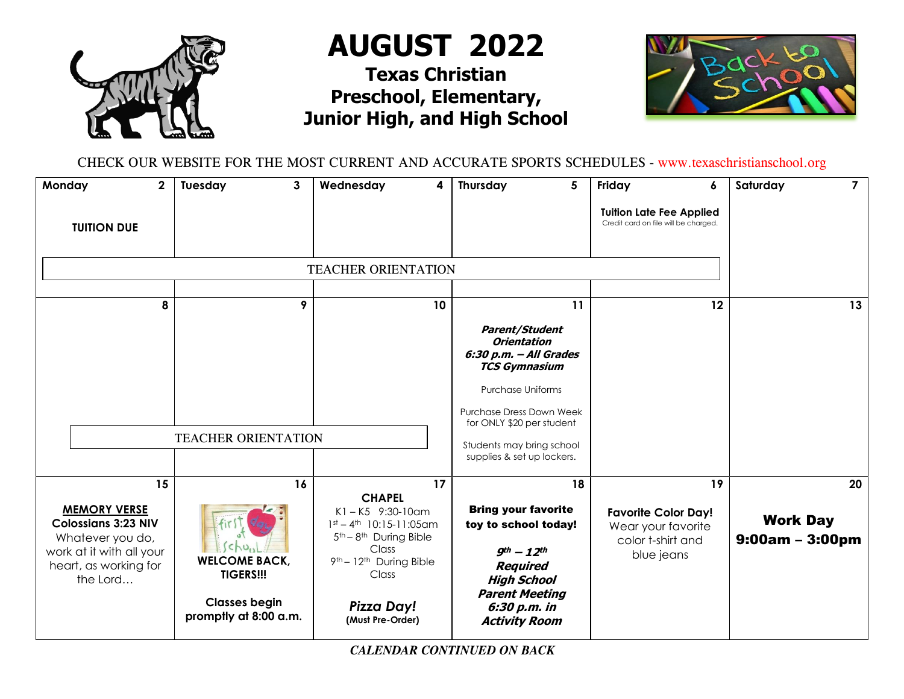

**AUGUST 2022**

## **Texas Christian Preschool, Elementary, Junior High, and High School**



CHECK OUR WEBSITE FOR THE MOST CURRENT AND ACCURATE SPORTS SCHEDULES - www.texaschristianschool.org

| Monday<br>$\mathbf{2}$<br><b>TUITION DUE</b>                                                                                                 | Tuesday<br>3                                                                                            | Wednesday<br>4                                                                                                                                                                                                                   | Thursday<br>5                                                                                                                                                                                                                                 | Friday<br>6<br><b>Tuition Late Fee Applied</b><br>Credit card on file will be charged.    | $\overline{7}$<br>Saturday                 |
|----------------------------------------------------------------------------------------------------------------------------------------------|---------------------------------------------------------------------------------------------------------|----------------------------------------------------------------------------------------------------------------------------------------------------------------------------------------------------------------------------------|-----------------------------------------------------------------------------------------------------------------------------------------------------------------------------------------------------------------------------------------------|-------------------------------------------------------------------------------------------|--------------------------------------------|
|                                                                                                                                              |                                                                                                         |                                                                                                                                                                                                                                  |                                                                                                                                                                                                                                               |                                                                                           |                                            |
| 8                                                                                                                                            | 9                                                                                                       | 10                                                                                                                                                                                                                               | 11                                                                                                                                                                                                                                            | 12                                                                                        | 13                                         |
|                                                                                                                                              | <b>TEACHER ORIENTATION</b>                                                                              |                                                                                                                                                                                                                                  | <b>Parent/Student</b><br><b>Orientation</b><br>6:30 p.m. - All Grades<br><b>TCS Gymnasium</b><br><b>Purchase Uniforms</b><br>Purchase Dress Down Week<br>for ONLY \$20 per student<br>Students may bring school<br>supplies & set up lockers. |                                                                                           |                                            |
| 15<br><b>MEMORY VERSE</b><br><b>Colossians 3:23 NIV</b><br>Whatever you do,<br>work at it with all your<br>heart, as working for<br>the Lord | 16<br>ChU.<br><b>WELCOME BACK,</b><br><b>TIGERS!!!</b><br><b>Classes begin</b><br>promptly at 8:00 a.m. | 17<br><b>CHAPEL</b><br>$K1 - K5$ 9:30-10am<br>$1st - 4th$ 10:15-11:05am<br>5 <sup>th</sup> - 8 <sup>th</sup> During Bible<br>Class<br>9 <sup>th</sup> - 12 <sup>th</sup> During Bible<br>Class<br>Pizza Day!<br>(Must Pre-Order) | 18<br><b>Bring your favorite</b><br>toy to school today!<br>$9th - 12th$<br><b>Required</b><br><b>High School</b><br><b>Parent Meeting</b><br>6:30 p.m. in<br><b>Activity Room</b>                                                            | 19<br><b>Favorite Color Day!</b><br>Wear your favorite<br>color t-shirt and<br>blue jeans | 20<br><b>Work Day</b><br>$9:00am - 3:00pm$ |

*CALENDAR CONTINUED ON BACK*